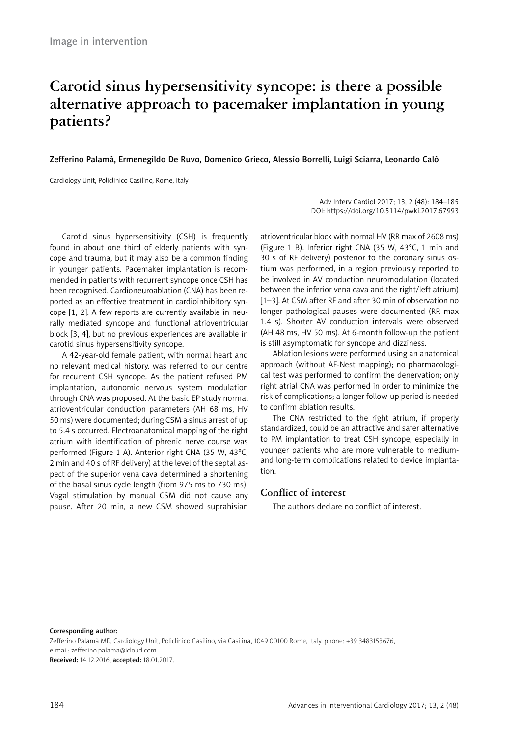# **Carotid sinus hypersensitivity syncope: is there a possible alternative approach to pacemaker implantation in young patients?**

## Zefferino Palamà, Ermenegildo De Ruvo, Domenico Grieco, Alessio Borrelli, Luigi Sciarra, Leonardo Calò

Cardiology Unit, Policlinico Casilino, Rome, Italy

Adv Interv Cardiol 2017; 13, 2 (48): 184–185 DOI: https://doi.org/10.5114/pwki.2017.67993

Carotid sinus hypersensitivity (CSH) is frequently found in about one third of elderly patients with syncope and trauma, but it may also be a common finding in younger patients. Pacemaker implantation is recommended in patients with recurrent syncope once CSH has been recognised. Cardioneuroablation (CNA) has been reported as an effective treatment in cardioinhibitory syncope [1, 2]. A few reports are currently available in neurally mediated syncope and functional atrioventricular block [3, 4], but no previous experiences are available in carotid sinus hypersensitivity syncope.

A 42-year-old female patient, with normal heart and no relevant medical history, was referred to our centre for recurrent CSH syncope. As the patient refused PM implantation, autonomic nervous system modulation through CNA was proposed. At the basic EP study normal atrioventricular conduction parameters (AH 68 ms, HV 50 ms) were documented; during CSM a sinus arrest of up to 5.4 s occurred. Electroanatomical mapping of the right atrium with identification of phrenic nerve course was performed (Figure 1 A). Anterior right CNA (35 W, 43°C, 2 min and 40 s of RF delivery) at the level of the septal aspect of the superior vena cava determined a shortening of the basal sinus cycle length (from 975 ms to 730 ms). Vagal stimulation by manual CSM did not cause any pause. After 20 min, a new CSM showed suprahisian

atrioventricular block with normal HV (RR max of 2608 ms) (Figure 1 B). Inferior right CNA (35 W, 43°C, 1 min and 30 s of RF delivery) posterior to the coronary sinus ostium was performed, in a region previously reported to be involved in AV conduction neuromodulation (located between the inferior vena cava and the right/left atrium) [1–3]. At CSM after RF and after 30 min of observation no longer pathological pauses were documented (RR max 1.4 s). Shorter AV conduction intervals were observed (AH 48 ms, HV 50 ms). At 6-month follow-up the patient is still asymptomatic for syncope and dizziness.

Ablation lesions were performed using an anatomical approach (without AF-Nest mapping); no pharmacological test was performed to confirm the denervation; only right atrial CNA was performed in order to minimize the risk of complications; a longer follow-up period is needed to confirm ablation results.

The CNA restricted to the right atrium, if properly standardized, could be an attractive and safer alternative to PM implantation to treat CSH syncope, especially in younger patients who are more vulnerable to mediumand long-term complications related to device implantation.

# **Conflict of interest**

The authors declare no conflict of interest.

#### Corresponding author:

Zefferino Palamà MD, Cardiology Unit, Policlinico Casilino, via Casilina, 1049 00100 Rome, Italy, phone: +39 3483153676, e-mail: [zefferino.palama@icloud.com](mailto:zefferino.palama@icloud.com)

Received: 14.12.2016, accepted: 18.01.2017.